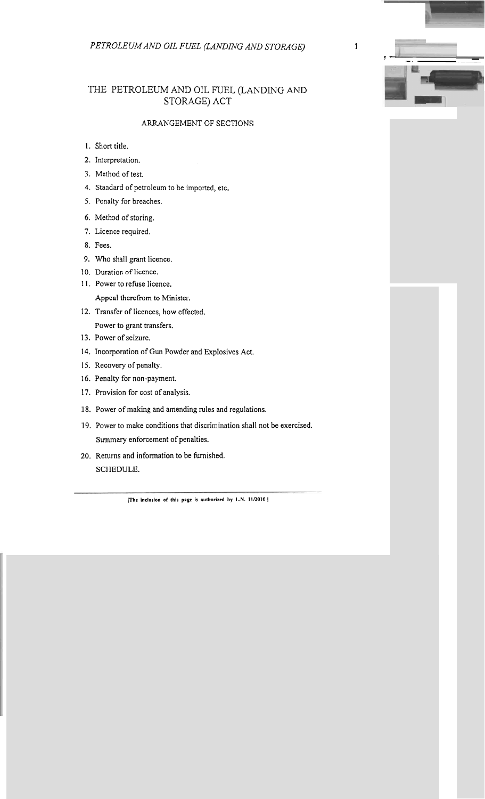## THE PETROLEUM AND OIL FUEL (LANDING AND STORAGE) ACT

## **ARRANGEMENT OF SECTIONS**

- 1. Short title.
- 2. Interpretation.
- **3.** Method of test.
- 4. Standard of petroleum to be imported, etc.
- 5. Penalty for breaches.
- 6. Method of storing.
- **7.** Licence required.
- **8.** Fees.
- **9.** Who shall grant licence.
- 10. Duration of licence.
- 1 I. Power to refuse licence. Appeal therefrom to Minister.
- **12.** Transfer of licences, how effected.

Power to grant transfers.

- 13. Power of seizure.
- 14. Incorporation of Gun Powder and Explosives Act.
- 15. Recovery of penalty.
- 16. Penalty for non-payment.
- 17. Provision for cost of analysis.
- **18,** Power of making and amending rules and regulations.
- 19. Power to make conditions that discrimination shall not be exercised. Summary enforcement of penalties.
- 20. Returns and information to be furnished.

**SCHEDULE.**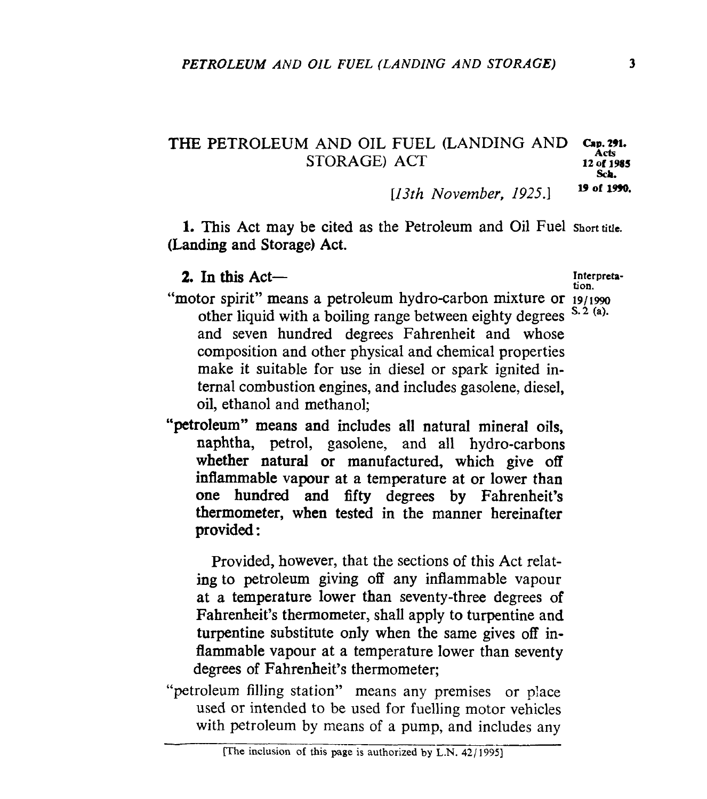## **THE PETROLEUM AND OIL FUEL (LANDING AND** *Cap.* **291.**<br>STORAGE) **ACT** *12 of 1985*

*sch.* 

**U of 1990.** *[13th November, 1925.1* 

**1.** This Act may be cited as the Petroleum and Oil Fuel **shorttitle. (Landing and** Storage) Act.

**2.** In this Act—

**tion.** 

- "motor spirit" means a petroleum hydro-carbon mixture or  $19/1990$ <br>other liquid with a boiling range between eighty degrees  $5.2$  (a). other liquid with a boiling range between eighty degrees and seven hundred degrees Fahrenheit and whose composition and other physical and chemical properties make it suitable for use in diesel or spark ignited internal combustion engines, and includes gasolene, diesel, oil, ethanol and methanol;
- "petroleum" means and includes all natural mineral oils, naphtha, petrol, gasolene, and all hydro-carbons whether natural or manufactured, which give **off**  inflammable vapour at a temperature at or lower than one hundred **and** fifty degrees **by** Fahrenheit's thermometer, when tested in the manner hereinafter **provided:**

Provided, however, that the sections of this Act relat**ing** to petroleum giving off any inflammable vapour at a temperature lower than seventy-three degrees of Fahrenheit's thermometer, shall apply to turpentine and turpentine substitute only when the same gives off inflammable vapour at a temperature lower than seventy degrees of Fahrenheit's thermometer;

"petroleum filling station" means any premises or place used or intended to be used for fuelling motor vehicles with petroleum by means of a pump, and includes any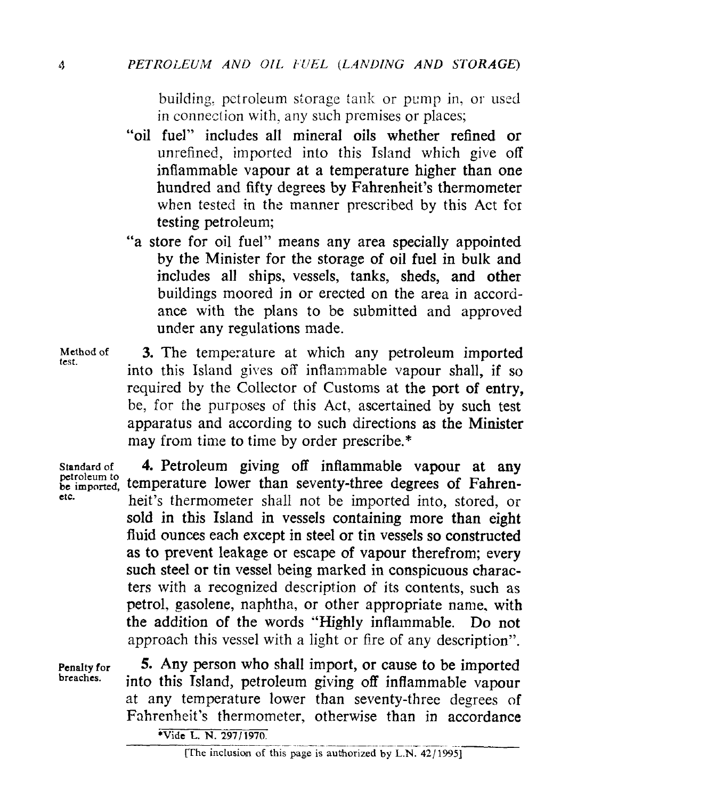building, petroleum storage tank or pump in, or used in connection with, any such premises or places;

- "oil fuel" includes all mineral oils whether refined or unrefined, imported into this Island which give off inflammable vapour at a temperature higher than one hundred and fifty degrees by Fahrenheit's thermometer when tested in the manner prescribed by this Act for testing petroleum;
- "a store for oil fuel" means any area specially appointed by the Minister for the storage of oil fuel in bulk and includes all ships, vessels, tanks, sheds, and other buildings moored in or erected on the area in accordance with the plans to be submitted and approved under any regulations made.
- **3.** The temperature at which any petroleum imported into this Island gives off inflammable vapour shall, if so required by the Collector of Customs at the port of entry, be, for the purposes of this **Act,** ascertained by such test apparatus and according to such directions **as** the Minister may from time to time by order prescribe.\* **Method** of *test.*

petroleum *to etc.* 

**Standardof 4.** Petroleum giving off inflammable vapour **at any**  be imported, temperature lower than seventy-three degrees of Fahrenheit's thermometer shall not be imported into, stored, or sold in this Island in vessels containing more than eight fluid ounces each except in steel or tin vessels so constructed as **to** prevent leakage or escape of vapour therefrom; every such steel or tin vessel being marked in conspicuous characters with a recognized description of its contents, such as petrol, gasolene, naphtha, or other appropriate name. with the addition of the words "Highly inflammable. Do not approach this vessel with a light or fire of any description".

**Penalty for breaches.** 

*5.* Any person who shall import, or cause to be imported into this Island, petroleum giving off inflammable vapour at any temperature lower than seventy-three degrees of Fahrenheit's thermometer, otherwise than in accordance

**Vide L. N. 297/1970.**<br>[The inclusion of this page is authorized by L.N. 42/1995]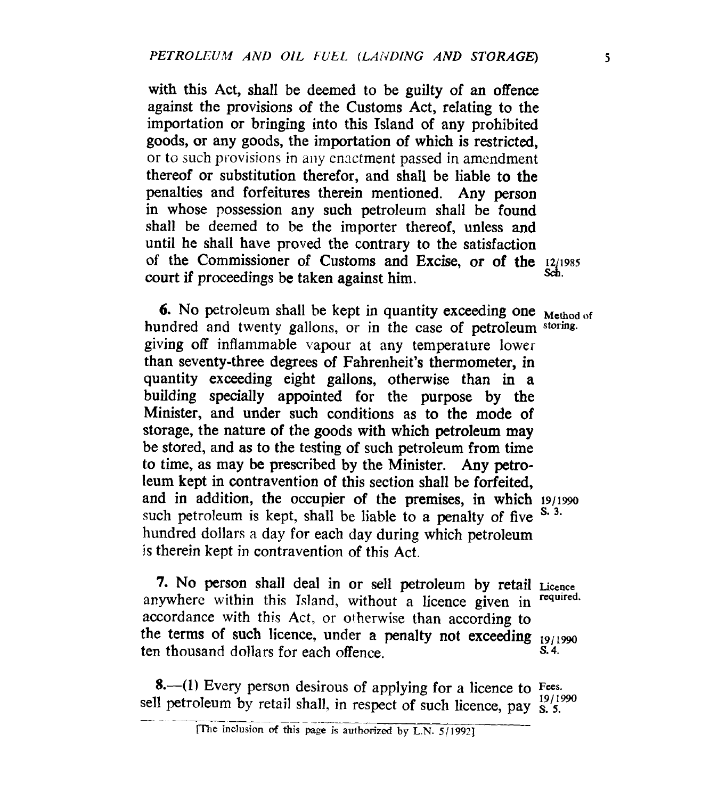with this Act, shall be deemed to be guilty of an offence against the provisions of the Customs Act, relating to the importation or bringing into this Island of any prohibited goods, or any goods, the importation **of** which is restricted, or to such provisions in any enactment passed in amendment thereof or substitution therefor, and shall be liable to the penalties and forfeitures therein mentioned. Any person in whose possession any such petroleum shall be found shall be deemed to be the importer thereof, unless and until he shall have proved the contrary to the satisfaction of the Commissioner of Customs and Excise, or of the **12/1985** court if proceedings be taken against him.

**6.** No petroleum shall be kept in quantity exceeding one **Method** of hundred and twenty gallons, or in the case **of** petroleum **storing.**  giving **off** inflammable vapour at any temperature lower than seventy-three degrees of Fahrenheit's thermometer, in quantity exceeding eight gallons, otherwise than in a building specially appointed for the purpose by the Minister, and under such conditions as to the mode of storage, the nature **of** the goods with which petroleum may be stored, and **as** to the testing of such petroleum from time to time, as may be prescribed by the Minister. Any petroleum kept in contravention of this section shall be forfeited, and in addition, the occupier of the premises, in which **ig/i99o**  such petroleum is kept, shall be liable to a penalty of five  $S<sup>3</sup>$ . hundred dollars a day for each day during which petroleum **is** therein kept in contravention of this Act.

**7.** No person shall deal in **or** sell petroleum by retail **Licence**  accordance with this Act, or otherwise than according to the terms of such licence, under a penalty not exceeding  $19/1990$ ten thousand dollars for each offence. anywhere within this Island, without a licence given in *s.* **4.** 

**8.**—(1) Every person desirous of applying for a licence to Fees.<br><sup>11</sup> retroleum by retail shall in respect of material lines.  $\frac{19/1990}{2}$ sell petroleum by retail shall, in respect of such licence, pay <sup>19/1990</sup> **included Example 3 and 2 and 3 and 3 and 3 and 3 and 3 and 3 and 3 and 3 and 3 and 3 and 3 and 4 and 3 and 4 and 4 and 4 and 4 and 4 and 4 and 4 and 4 and 5 and 5 and 5 and 5 and 5 and 5 and 5 and 5 and 5 and 5 and 5 an**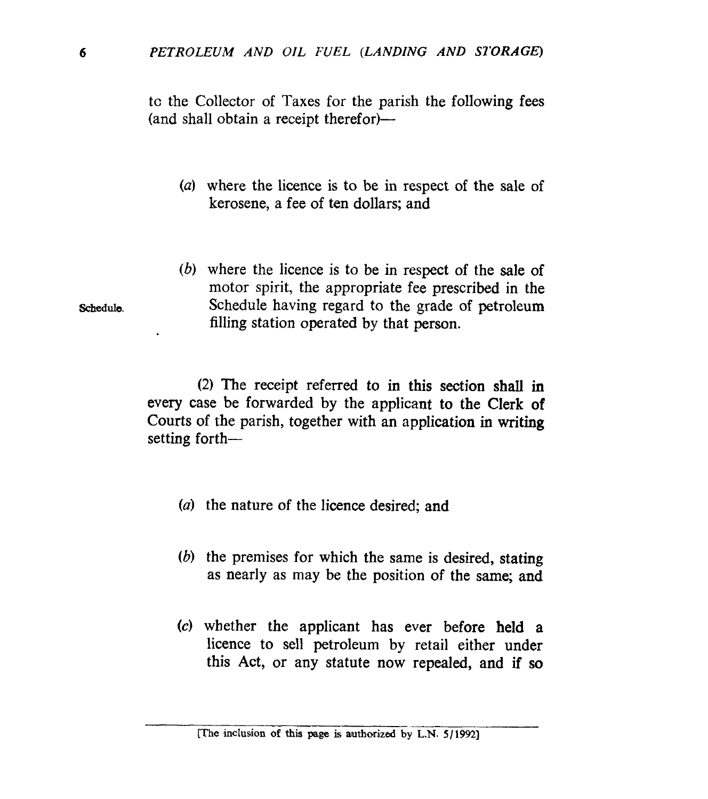to the Collector of Taxes for the parish the following fees (and shall obtain a receipt therefor)—

- *(a)* where the licence is to be in respect of the sale of kerosene, a fee of ten dollars; and
- *(b)* where the licence is to be in respect of the sale of motor spirit, the appropriate fee prescribed in the Schedule having regard to the grade of petroleum filling station operated by that person.

**(2)** The receipt referred to in this section **shall** in every case be forwarded by the applicant **to** the Clerk **of**  Courts of the parish, together with an application in **writing**  setting forth-

- *(a)* the nature of the licence desired; and
- *(b)* the premises for which the same is desired, stating as nearly as may be the position **of** the same; and
- *(c)* whether the applicant has ever before **held** a licence to sell petroleum by retail either under this Act, or any statute now repealed, and if **so**

**Schedule.**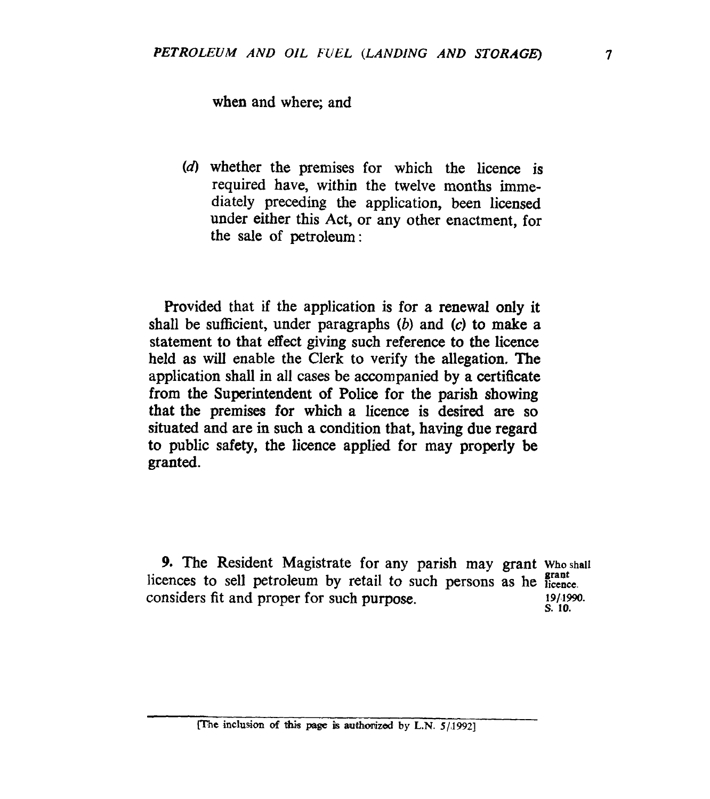when and where; and

(d) whether the premises for which the licence is required have, within the twelve months immediately preceding the application, been licensed under either this Act, or any other enactment, for the sale of petroleum:

Provided that if the application is for a renewal only it shall be sufficient, under paragraphs *(b)* and *(c)* to make a statement to that effect giving such reference to the licence held as will enable the Clerk to verify the allegation. The application shall in all cases be accompanied by a certificate from the Superintendent of **Police** for the parish showing that the premises for which a licence is desired are so situated and are in such a condition that, having due regard to public **safety,** the licence applied for may properly be granted.

*9.* The Resident Magistrate for any parish may grant **Whoshall licences** to sell petroleum by retail to such persons as he **prant** considers fit and proper for such purpose. **19/1990. s. 10.**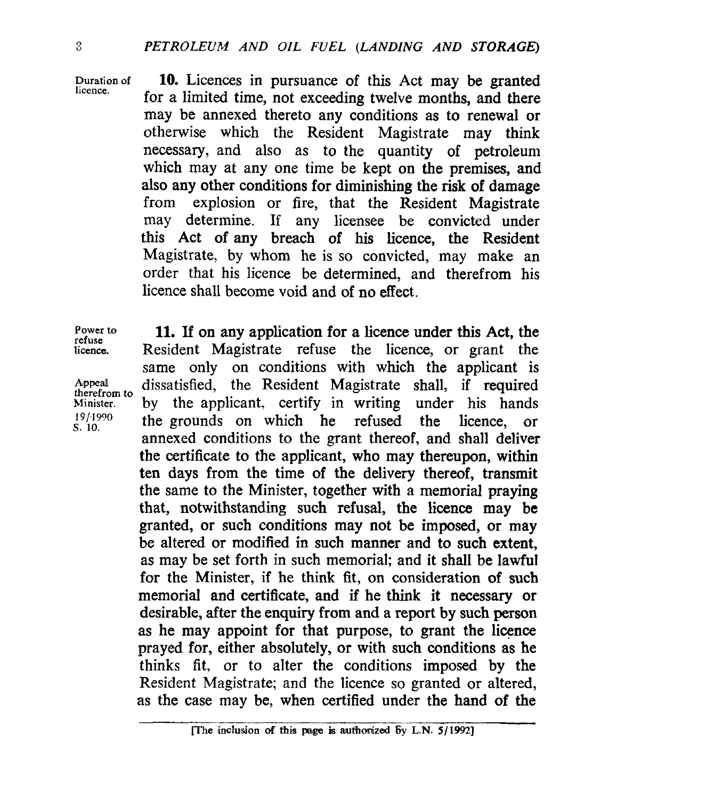**licence.** 

**Durationof 10.** Licences in pursuance of this Act may be granted for a limited time, not exceeding twelve months, and there may be annexed thereto any conditions as to renewal or otherwise which the Resident Magistrate may think necessary, and also as to the quantity of petroleum which may at any one time be kept on the premises, and also any other conditions for diminishing the **risk** of damage from explosion or fire, that the Resident Magistrate may determine. **If** any licensee be convicted under this Act of **any** breach of his licence, the Resident Magistrate, by whom he is so convicted, may make an order that his licence be determined, and therefrom his licence shall become void and **of** no effect.

**refuse** 

**therefrom to** 

**Power** to **11.** If on any application for a licence under this Act, the **licence.** Resident Magistrate refuse the licence, or grant the same only on conditions with which the applicant is Appeal dissatisfied, the Resident Magistrate shall, if required Minister. **by the applicant, certify in writing under his hands**  $s<sub>S.10</sub>$  the grounds on which he refused the licence, or annexed conditions to the grant thereof, and shall deliver the certificate to the applicant, who may thereupon, within ten days from the time of the delivery thereof, transmit the same to the Minister, together with a memorial praying that, notwithstanding such refusal, the licence may be granted, or such conditions may not be imposed, or **may**  be altered or modified in such manner and to such extent, as may be set forth in such memorial; and it shall be lawful for the Minister, if he think fit, on consideration of such memorial and certificate, and if he think it **necessary or**  desirable, after the enquiry from and a report by such person as he may appoint for that purpose, to grant the licence prayed for, either absolutely, or with such conditions as he thinks fit, or to alter the conditions imposed by the Resident Magistrate; and the licence so granted or altered, as the case may be, when certified under the hand **of** the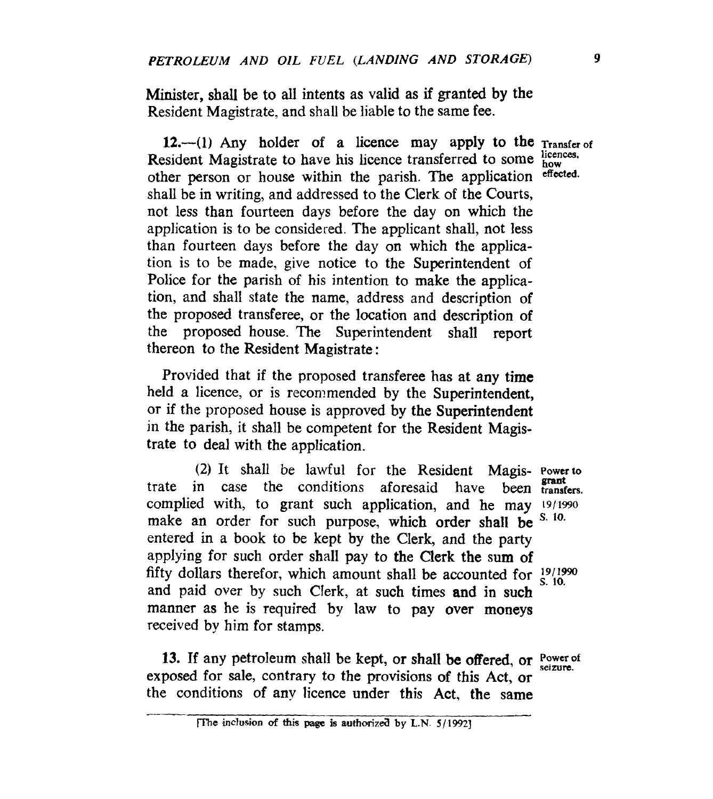Minister, shall be to all intents as valid **as** if granted by the Resident Magistrate, and shall be liable to the same fee.

12.-(1) Any holder of a licence may apply to the **Transfer** of Resident Magistrate to have his licence transferred to some  $_{\text{how}}^{\text{licences}}$ . other person or house within the parish. The application **effected.**  shall be in writing, and addressed to the Clerk of the Courts, not less than fourteen days before the day on which the application is to be considered. The applicant shall, not less than fourteen days before the day on which the application is to be made, give notice to the Superintendent of Police for the parish of his intention to make the application, and shall state the name, address and description of the proposed transferee, or the location and description of the proposed house. The Superintendent shall report thereon to the Resident Magistrate :

Provided that if the proposed transferee has at any time held a licence, or is recommended by the Superintendent, or if the proposed house is approved by the Superintendent in the parish, it shall be competent for the Resident Magistrate to deal with the application.

(2) It shall be lawful for the Resident Magis- **Powerto**  trate in case the conditions aforesaid have been **transfers.**  complied with, to grant such application, and he may 19/1990 make an order for such purpose which order shall he S. 10. entered in a book to be kept by the Clerk, and the party applying for such order shall pay to the Clerk the sum **of**  fifty dollars therefor, which amount shall be accounted for  $\frac{19}{1290}$ and paid over by such Clerk, at such times and in such manner as he is required **by** law to pay **over moneys**  received by him for stamps. *Brant*  make an order for such purpose, which order shall be

13. If any petroleum shall be kept, or shall be offered, or Power of exposed for sale, contrary to the provisions of this Act, **or**  the conditions of any licence under this Act, the same

[The inclusion of this page is authorized by L.N. 5/1992]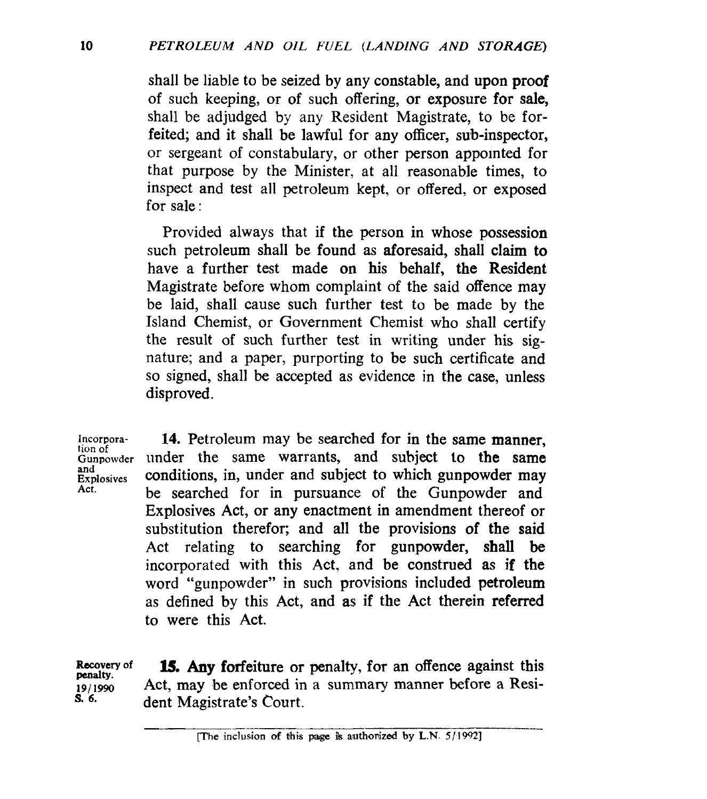shall be liable to be seized by any constable, and upon proof of such keeping, or of such offering, or exposure **for** sale, shall be adjudged by any Resident Magistrate, to be forfeited; and it shall be lawful for any officer, sub-inspector, or sergeant of constabulary, or other person appointed for that purpose by the Minister, at all reasonable times, to inspect and test all petroleum kept, or offered, or exposed for sale :

Provided always that **if** the person in whose possession such petroleum shall be found as aforesaid, shall claim to have a further test made on his behalf, the Resident Magistrate before whom complaint of the said offence may be laid, shall cause such further test to be made by the Island Chemist, or Government Chemist who shall certify the result of such further test in writing under his signature; and a paper, purporting to be such certificate and so signed, shall be accepted as evidence in the case, unless disproved.

**Incorpora**tion of **Gunpowder and Explosives Act.** 

**14.** Petroleum may be searched for in the same manner, under the same warrants, and subject to the same conditions, in, under and subject to which gunpowder may be searched for in pursuance of the Gunpowder and Explosives Act, or any enactment in amendment thereof or substitution therefor; and all the provisions **of** the said Act relating to searching for gunpowder, shall be incorporated with this Act. and be construed as **if** the word "gunpowder" in such provisions included petroleum as defined by this Act, and as if the Act therein referred to were this Act.

**Rscovery of penalty. 191 1990 S. 6. l5. Any** forfeiture or penalty, for an offence against this Act, may be enforced in a summary manner before a Resident Magistrate's Court.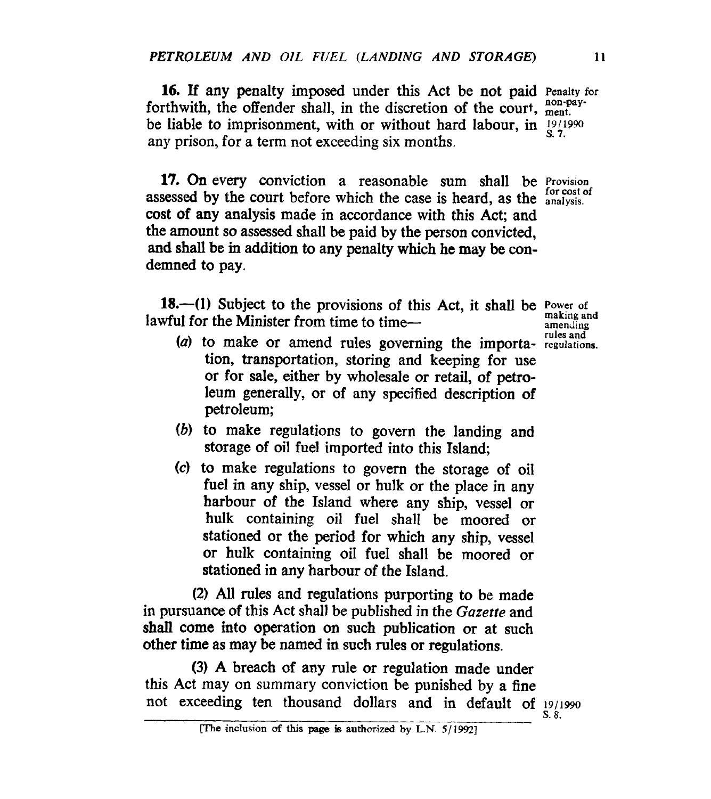**16.** If any penalty imposed under this Act be not paid **Penalty** for forthwith, the offender shall, in the discretion of the court, ment. be liable to imprisonment, with or without hard labour, in  $\frac{19}{19990}$ any prison, for a term not exceeding six months.

**17. On** every conviction a reasonable sum shall be *Provision* assessed by the court before which the case is heard, as the **analysis**. **cost** of any analysis made in accordance with this Act; and the amount so assessed shall be paid by the person convicted, **and** shall be in addition to any penalty which he may be condemned to pay.

**18.-(1)** Subject to the provisions of this Act, it shall be **Power of making and**  lawful for the Minister from time to time-

- *(a)* to make or amend rules governing the importa- **regulations.**  tion, transportation, storing and keeping for use or for sale, either by wholesale or retail, of petroleum generally, or of any specified description of petroleum;
- *(b)* to make regulations to govern the landing and storage of oil fuel imported into this Island;
- **(4** to make regulations to govern the storage of oil fuel in any ship, vessel or hulk or the place in any harbour of the Island where any ship, vessel or hulk containing oil fuel shall be moored or stationed or the period for which any ship, vessel or hulk containing oil fuel shall be moored or stationed in any harbour of the Island.

(2) All rules and regulations purporting to be made in pursuance of this Act shall be published in the Gazette and shall come into operation on such publication or at such other time as may be named in such rules or regulations.

(3) A breach of **any** rule or regulation made under this Act may on summary conviction be punished by a fine not exceeding ten thousand dollars and in default of  $19/1990$ 

**arnenllmp rules and** 

*s.* **8.**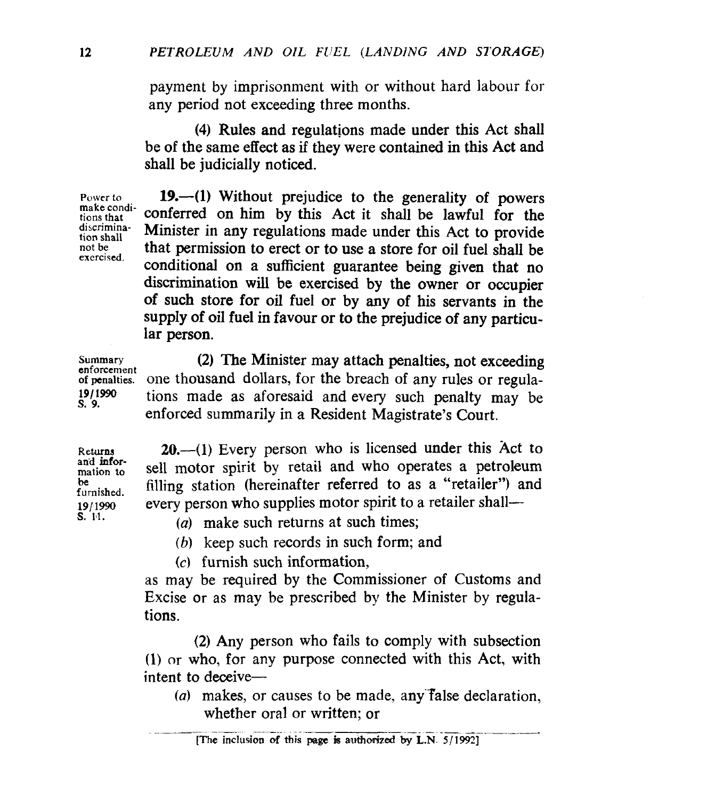payment by imprisonment with or without hard labour for any period not exceeding three months.

**(4)** Rules and regulations made under this Act shall be **of** the same effect **as** if they were contained in this Act and shall be judicially noticed.

**Power** *to*  **make conditions that discrimination shall not be exercised.** 

**19.-(1)** Without prejudice to the generality **of** powers conferred on him by this Act it shall be lawful for the Minister in any regulations made under this Act to provide that permission to erect or to use a store for oil fuel shall be conditional on a sufficient guarantee being given that no discrimination **will** be exercised by the owner or occupier of such store for **oil** fuel or by any of his servants in the supply of oil fuel **in** favour or *to* the prejudice of any particular person.

**Summary enforcement of penalties.**  *191* **1990 s.** *9.* 

(2) The Minister may attach penalties, not exceeding one thousand dollars, for the breach of any rules or regulations made as aforesaid and every such penalty may be enforced summarily in a Resident Magistrate's Court.

Returns **an'd information to be furnished.**  *191* **1990 s. 1,l.** 

20.-(1) Every person who is licensed under this Act to sell motor spirit by retail and who operates a petroleum filling station (hereinafter referred to as a "retailer") and every person who supplies motor spirit to a retailer shall-

- *(a)* make such returns at such times;
- *(b)* keep such records in such form; and
- **(c)** furnish such information,

as may be required by the Commissioner of Customs and Excise or as may be prescribed by the Minister by regulations.

**(2) Any** person who fails to comply with subsection **(I)** or who, for any purpose connected with this Act, with intent to deceive- $-$ 

(a) makes, or causes to be made, any false declaration,<br>whether oral or written; or<br>The inclusion of this page is authorized by L.N.  $5/1992$ ]